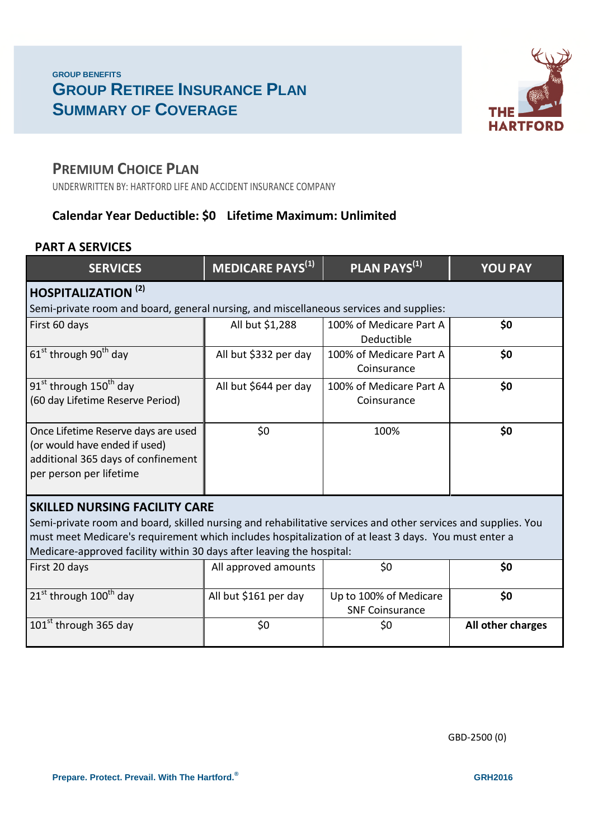### **GROUP BENEFITS GROUP RETIREE INSURANCE PLAN SUMMARY OF COVERAGE**



### **PREMIUM CHOICE PLAN**

UNDERWRITTEN BY: HARTFORD LIFE AND ACCIDENT INSURANCE COMPANY

### **Calendar Year Deductible: \$0 Lifetime Maximum: Unlimited**

#### **PART A SERVICES**

| <b>SERVICES</b>                                                                                                                                                                                                                                                                                                                        | <b>MEDICARE PAYS</b> <sup>(1)</sup> | PLAN PAYS <sup>(1)</sup>                         | <b>YOU PAY</b>    |
|----------------------------------------------------------------------------------------------------------------------------------------------------------------------------------------------------------------------------------------------------------------------------------------------------------------------------------------|-------------------------------------|--------------------------------------------------|-------------------|
| <b>HOSPITALIZATION (2)</b>                                                                                                                                                                                                                                                                                                             |                                     |                                                  |                   |
| Semi-private room and board, general nursing, and miscellaneous services and supplies:                                                                                                                                                                                                                                                 |                                     |                                                  |                   |
| First 60 days                                                                                                                                                                                                                                                                                                                          | All but \$1,288                     | 100% of Medicare Part A<br>Deductible            | \$0               |
| $61st$ through 90 <sup>th</sup> day                                                                                                                                                                                                                                                                                                    | All but \$332 per day               | 100% of Medicare Part A<br>Coinsurance           | \$0               |
| 91 <sup>st</sup> through 150 <sup>th</sup> day<br>(60 day Lifetime Reserve Period)                                                                                                                                                                                                                                                     | All but \$644 per day               | 100% of Medicare Part A<br>Coinsurance           | \$0               |
| Once Lifetime Reserve days are used<br>(or would have ended if used)<br>additional 365 days of confinement<br>per person per lifetime                                                                                                                                                                                                  | \$0\$                               | 100%                                             | \$0               |
| <b>SKILLED NURSING FACILITY CARE</b><br>Semi-private room and board, skilled nursing and rehabilitative services and other services and supplies. You<br>must meet Medicare's requirement which includes hospitalization of at least 3 days. You must enter a<br>Medicare-approved facility within 30 days after leaving the hospital: |                                     |                                                  |                   |
| First 20 days                                                                                                                                                                                                                                                                                                                          | All approved amounts                | \$0                                              | \$0               |
| $21st$ through $100th$ day                                                                                                                                                                                                                                                                                                             | All but \$161 per day               | Up to 100% of Medicare<br><b>SNF Coinsurance</b> | \$0               |
| $101st$ through 365 day                                                                                                                                                                                                                                                                                                                | \$0                                 | \$0                                              | All other charges |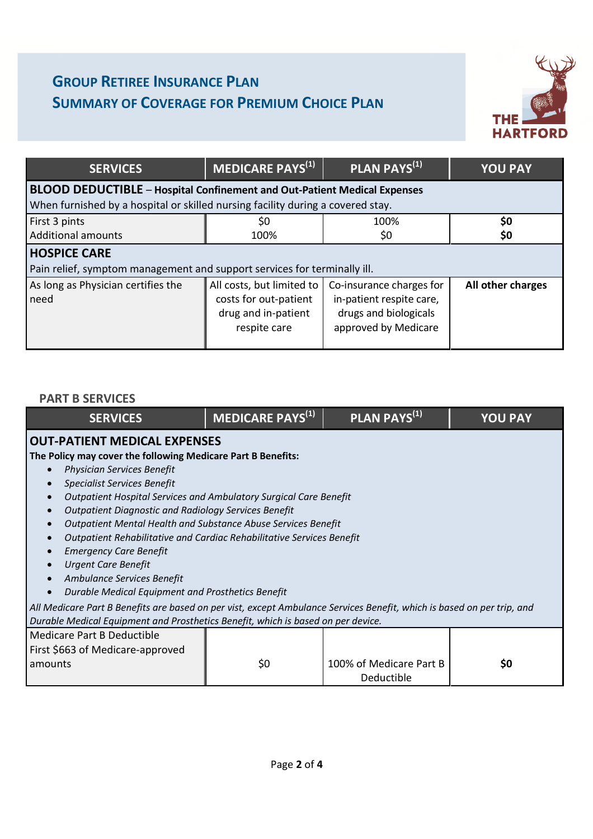# **GROUP RETIREE INSURANCE PLAN SUMMARY OF COVERAGE FOR PREMIUM CHOICE PLAN**



| <b>SERVICES</b>                                                                 | MEDICARE PAYS <sup>(1)</sup>                                                              | PLAN PAYS <sup>(1)</sup>                                                                              | <b>YOU PAY</b>    |
|---------------------------------------------------------------------------------|-------------------------------------------------------------------------------------------|-------------------------------------------------------------------------------------------------------|-------------------|
| <b>BLOOD DEDUCTIBLE - Hospital Confinement and Out-Patient Medical Expenses</b> |                                                                                           |                                                                                                       |                   |
| When furnished by a hospital or skilled nursing facility during a covered stay. |                                                                                           |                                                                                                       |                   |
| First 3 pints                                                                   | \$0                                                                                       | 100%                                                                                                  | \$0               |
| <b>Additional amounts</b>                                                       | 100%                                                                                      | \$0                                                                                                   | \$0               |
| <b>HOSPICE CARE</b>                                                             |                                                                                           |                                                                                                       |                   |
| Pain relief, symptom management and support services for terminally ill.        |                                                                                           |                                                                                                       |                   |
| As long as Physician certifies the<br>need                                      | All costs, but limited to<br>costs for out-patient<br>drug and in-patient<br>respite care | Co-insurance charges for<br>in-patient respite care,<br>drugs and biologicals<br>approved by Medicare | All other charges |

#### **PART B SERVICES**

| <b>SERVICES</b>                                                                                                        | MEDICARE PAYS <sup>(1)</sup> | PLAN PAYS <sup>(1)</sup> | <b>YOU PAY</b> |
|------------------------------------------------------------------------------------------------------------------------|------------------------------|--------------------------|----------------|
| <b>OUT-PATIENT MEDICAL EXPENSES</b>                                                                                    |                              |                          |                |
| The Policy may cover the following Medicare Part B Benefits:                                                           |                              |                          |                |
| <b>Physician Services Benefit</b>                                                                                      |                              |                          |                |
| <b>Specialist Services Benefit</b>                                                                                     |                              |                          |                |
| Outpatient Hospital Services and Ambulatory Surgical Care Benefit                                                      |                              |                          |                |
| <b>Outpatient Diagnostic and Radiology Services Benefit</b>                                                            |                              |                          |                |
| Outpatient Mental Health and Substance Abuse Services Benefit                                                          |                              |                          |                |
| Outpatient Rehabilitative and Cardiac Rehabilitative Services Benefit                                                  |                              |                          |                |
| <b>Emergency Care Benefit</b>                                                                                          |                              |                          |                |
| <b>Urgent Care Benefit</b>                                                                                             |                              |                          |                |
| Ambulance Services Benefit                                                                                             |                              |                          |                |
| Durable Medical Equipment and Prosthetics Benefit                                                                      |                              |                          |                |
| All Medicare Part B Benefits are based on per vist, except Ambulance Services Benefit, which is based on per trip, and |                              |                          |                |
| Durable Medical Equipment and Prosthetics Benefit, which is based on per device.                                       |                              |                          |                |
| <b>Medicare Part B Deductible</b>                                                                                      |                              |                          |                |
| First \$663 of Medicare-approved                                                                                       |                              |                          |                |
| amounts                                                                                                                | \$0                          | 100% of Medicare Part B  | \$0            |
|                                                                                                                        |                              | Deductible               |                |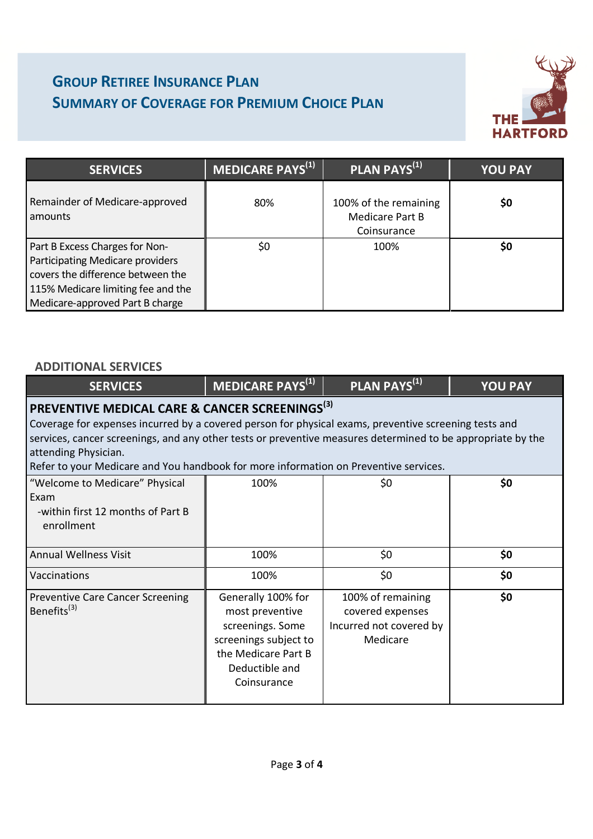# **GROUP RETIREE INSURANCE PLAN SUMMARY OF COVERAGE FOR PREMIUM CHOICE PLAN**



| <b>SERVICES</b>                                                                                                                                                                  | MEDICARE PAYS <sup>(1)</sup> | PLAN PAYS <sup>(1)</sup>                                | <b>YOU PAY</b> |
|----------------------------------------------------------------------------------------------------------------------------------------------------------------------------------|------------------------------|---------------------------------------------------------|----------------|
| Remainder of Medicare-approved<br>amounts                                                                                                                                        | 80%                          | 100% of the remaining<br>Medicare Part B<br>Coinsurance | \$0            |
| Part B Excess Charges for Non-<br>Participating Medicare providers<br>covers the difference between the<br>115% Medicare limiting fee and the<br>Medicare-approved Part B charge | \$0                          | 100%                                                    | \$0            |

#### **ADDITIONAL SERVICES**

| <b>SERVICES</b>                                                                                                                                                                                                                                                                                                                                                                                    | <b>MEDICARE PAYS</b> <sup>(1)</sup>                                                                                                        | PLAN PAYS <sup>(1)</sup>                                                     | <b>YOU PAY</b> |
|----------------------------------------------------------------------------------------------------------------------------------------------------------------------------------------------------------------------------------------------------------------------------------------------------------------------------------------------------------------------------------------------------|--------------------------------------------------------------------------------------------------------------------------------------------|------------------------------------------------------------------------------|----------------|
| PREVENTIVE MEDICAL CARE & CANCER SCREENINGS <sup>(3)</sup><br>Coverage for expenses incurred by a covered person for physical exams, preventive screening tests and<br>services, cancer screenings, and any other tests or preventive measures determined to be appropriate by the<br>attending Physician.<br>Refer to your Medicare and You handbook for more information on Preventive services. |                                                                                                                                            |                                                                              |                |
| "Welcome to Medicare" Physical<br>Exam<br>-within first 12 months of Part B<br>enrollment                                                                                                                                                                                                                                                                                                          | 100%                                                                                                                                       | \$0                                                                          | \$0            |
| <b>Annual Wellness Visit</b>                                                                                                                                                                                                                                                                                                                                                                       | 100%                                                                                                                                       | \$0                                                                          | \$0            |
| Vaccinations                                                                                                                                                                                                                                                                                                                                                                                       | 100%                                                                                                                                       | \$0                                                                          | \$0            |
| <b>Preventive Care Cancer Screening</b><br>Benefits <sup>(3)</sup>                                                                                                                                                                                                                                                                                                                                 | Generally 100% for<br>most preventive<br>screenings. Some<br>screenings subject to<br>the Medicare Part B<br>Deductible and<br>Coinsurance | 100% of remaining<br>covered expenses<br>Incurred not covered by<br>Medicare | \$0            |